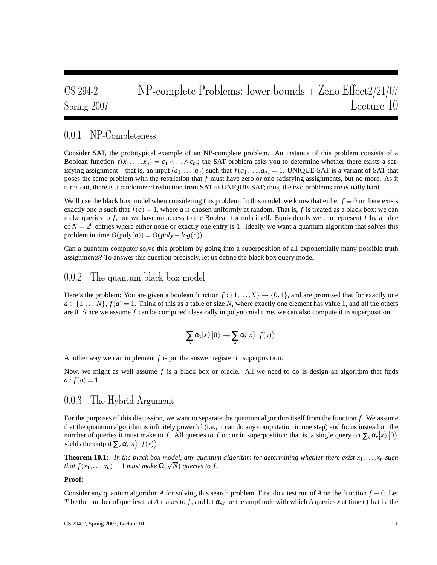# CS 294-2 NP-complete Problems: lower bounds + Zeno Effect2/21/07 Spring 2007 Lecture 10

# 0.0.1 NP-Completeness

Consider SAT, the prototypical example of an NP-complete problem. An instance of this problem consists of a Boolean function  $f(x_1,...,x_n) = c_1 \wedge ... \wedge c_m$ ; the SAT problem asks you to determine whether there exists a satisfying assignment—that is, an input  $(a_1, \ldots, a_n)$  such that  $f(a_1, \ldots, a_n) = 1$ . UNIQUE-SAT is a variant of SAT that poses the same problem with the restriction that *f* must have zero or one satisfying assignments, but no more. As it turns out, there is a randomized reduction from SAT to UNIQUE-SAT; thus, the two problems are equally hard.

We'll use the black box model when considering this problem. In this model, we know that either  $f \equiv 0$  or there exists exactly one *a* such that  $f(a) = 1$ , where *a* is chosen uniformly at random. That is, *f* is treated as a black box; we can make queries to *f* , but we have no access to the Boolean formula itself. Equivalently we can represent *f* by a table of  $N = 2<sup>n</sup>$  entries where either none or exactly one entry is 1. Ideally we want a quantum algorithm that solves this problem in time  $O(poly(n)) = O(poly - log(n)).$ 

Can a quantum computer solve this problem by going into a superposition of all exponentially many possible truth assignments? To answer this question precisely, let us define the black box query model:

## 0.0.2 The quantum black box model

Here's the problem: You are given a boolean function  $f : \{1, \ldots, N\} \rightarrow \{0, 1\}$ , and are promised that for exactly one  $a \in \{1, \ldots, N\}$ ,  $f(a) = 1$ . Think of this as a table of size *N*, where exactly one element has value 1, and all the others are 0. Since we assume *f* can be computed classically in polynomial time, we can also compute it in superposition:

$$
\sum_{x} \alpha_{x} |x\rangle |0\rangle \rightarrow \sum_{x} \alpha_{x} |x\rangle |f(x)\rangle
$$

Another way we can implement *f* is put the answer register in superposition:

Now, we might as well assume *f* is a black box or oracle. All we need to do is design an algorithm that finds  $a: f(a) = 1.$ 

## 0.0.3 The Hybrid Argument

For the purposes of this discussion, we want to separate the quantum algorithm itself from the function *f*. We assume that the quantum algorithm is infinitely powerful (i.e., it can do any computation in one step) and focus instead on the number of queries it must make to *f*. All queries to *f* occur in superposition; that is, a single query on  $\sum_{x} \alpha_x |x\rangle |0\rangle$ yields the output  $\sum_{x} \alpha_x |x\rangle |f(x)\rangle$ .

**Theorem 10.1**: In the black box model, any quantum algorithm for determining whether there exist  $x_1, \ldots, x_n$  such *that*  $f(x_1,...,x_n) = 1$  *must make*  $\Omega(\sqrt{N})$  *queries to f.* 

#### **Proof**:

Consider any quantum algorithm *A* for solving this search problem. First do a test run of *A* on the function  $f \equiv 0$ . Let *T* be the number of queries that *A* makes to *f*, and let  $\alpha_{x,t}$  be the amplitude with which *A* queries *x* at time *t* (that is, the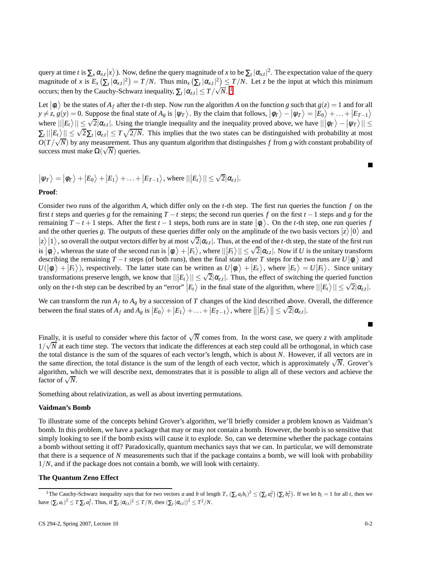query at time *t* is  $\sum_{x} \alpha_{x,t} |x\rangle$ ). Now, define the query magnitude of *x* to be  $\sum_{t} |\alpha_{x,t}|^2$ . The expectation value of the query magnitude of *x* is  $E_x(\sum_i |\alpha_{x,t}|^2) = T/N$ . Thus min<sub>x</sub>  $(\sum_i |\alpha_{x,t}|^2) \le T/N$ . Let *z* be the input at which this minimum occurs; then by the Cauchy-Schwarz inequality,  $\sum_{t} |\alpha_{z,t}| \leq T/\sqrt{N}$ .

Let  $|\phi_t\rangle$  be the states of  $A_f$  after the *t*-th step. Now run the algorithm *A* on the function *g* such that  $g(z) = 1$  and for all  $y \neq z$ ,  $g(y) = 0$ . Suppose the final state of  $A_g$  is  $|\psi_T\rangle$ . By the claim that follows,  $|\phi_T\rangle - |\psi_T\rangle = |E_0\rangle + \dots + |E_{T-1}\rangle$ where  $||E_t\rangle|| \leq \sqrt{2} |\alpha_{z,t}|$ . Using the triangle inequality and the inequality proved above, we have  $|||\phi_T\rangle - |\psi_T\rangle|| \leq$  $|\sum_{t} ||E_t|| \leq \sqrt{2} \sum_{t} |\alpha_{z,t}| \leq T \sqrt{2/N}$ . This implies that the two states can be distinguished with probability at most  $O(T/\sqrt{N})$  by any measurement. Thus any quantum algorithm that distinguishes *f* from *g* with constant probability of success must make  $\Omega(\sqrt{N})$  queries.

$$
|\psi_T\rangle = |\phi_T\rangle + |E_0\rangle + |E_1\rangle + \ldots + |E_{T-1}\rangle
$$
, where  $|||E_t\rangle|| \le \sqrt{2} |\alpha_{z,t}|$ .

**Proof**:

Consider two runs of the algorithm *A*, which differ only on the *t*-th step. The first run queries the function *f* on the first *t* steps and queries *g* for the remaining *T* −*t* steps; the second run queries *f* on the first *t* −1 steps and *g* for the remaining  $T - t + 1$  steps. After the first  $t - 1$  steps, both runs are in state  $|\phi_t\rangle$ . On the *t*-th step, one run queries *f* and the other queries g. The outputs of these queries differ only on the amplitude of the two basis vectors  $|z\rangle|0\rangle$  and  $|z\rangle$  |1), so overall the output vectors differ by at most  $\sqrt{2}|\alpha_{z,t}|$ . Thus, at the end of the *t*-th step, the state of the first run  $\ket{\phi_t}$ , whereas the state of the second run is  $\ket{\phi_t} + \ket{F_t}$ , where  $\ket{\ket{F_t}} \leq \sqrt{2} |\alpha_{z,t}|$ . Now if *U* is the unitary transform describing the remaining  $T - t$  steps (of both runs), then the final state after *T* steps for the two runs are  $U|\phi_t\rangle$  and  $U(|\phi_t\rangle + |F_t\rangle)$ , respectively. The latter state can be written as  $U|\phi_t\rangle + |E_t\rangle$ , where  $|E_t\rangle = U|F_t\rangle$ . Since unitary transformations preserve length, we know that  $||E_t|| \leq \sqrt{2} |\alpha_{z,t}|$ . Thus, the effect of switching the queried function only on the *t*-th step can be described by an "error"  $|E_t\rangle$  in the final state of the algorithm, where  $||E_t\rangle|| \leq \sqrt{2}|\alpha_{z,t}|$ .

We can transform the run  $A_f$  to  $A_g$  by a succession of T changes of the kind described above. Overall, the difference between the final states of  $A_f$  and  $A_g$  is  $|E_0\rangle + |E_1\rangle + ... + |E_{T-1}\rangle$ , where  $\| |E_t\rangle \| \le$  $\sqrt{2}|\alpha_{z,t}|.$ 

Finally, it is useful to consider where this factor of  $\sqrt{N}$  comes from. In the worst case, we query *z* with amplitude  $1/\sqrt{N}$  at each time step. The vectors that indicate the differences at each step could all be orthogonal, in which case the total distance is the sum of the squares of each vector's length, which is about *N*. However, if all vectors are in the same direction, the total distance is the sum of the length of each vector, which is approximately  $\sqrt{N}$ . Grover's algorithm, which we will describe next, demonstrates that it is possible to align all of these vectors and achieve the  $\frac{d}{dx}$  factor of  $\sqrt{N}$ .

Something about relativization, as well as about inverting permutations.

#### **Vaidman's Bomb**

To illustrate some of the concepts behind Grover's algorithm, we'll briefly consider a problem known as Vaidman's bomb. In this problem, we have a package that may or may not contain a bomb. However, the bomb is so sensitive that simply looking to see if the bomb exists will cause it to explode. So, can we determine whether the package contains a bomb without setting it off? Paradoxically, quantum mechanics says that we can. In particular, we will demonstrate that there is a sequence of *N* measurements such that if the package contains a bomb, we will look with probability 1/*N*, and if the package does not contain a bomb, we will look with certainty.

#### **The Quantum Zeno Effect**

 $\blacksquare$ 

 $\blacksquare$ 

<span id="page-1-0"></span><sup>&</sup>lt;sup>1</sup>The Cauchy-Schwarz inequality says that for two vectors a and b of length  $T$ ,  $(\sum_i a_i b_i)^2 \leq (\sum_i a_i^2) (\sum_i b_i^2)$ . If we let  $b_t = 1$  for all t, then we have  $(\sum_t a_t)^2 \le T \sum_t a_t^2$ . Thus, if  $\sum_t |\alpha_{z,t}|^2 \le T/N$ , then  $(\sum_t |\alpha_{z,t}|)^2 \le T^2/N$ .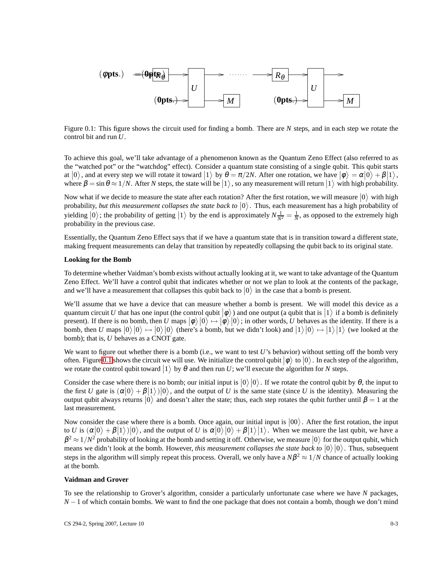

<span id="page-2-0"></span>Figure 0.1: This figure shows the circuit used for finding a bomb. There are *N* steps, and in each step we rotate the control bit and run *U*.

To achieve this goal, we'll take advantage of a phenomenon known as the Quantum Zeno Effect (also referred to as the "watched pot" or the "watchdog" effect). Consider a quantum state consisting of a single qubit. This qubit starts at  $|0\rangle$ , and at every step we will rotate it toward  $|1\rangle$  by  $\theta = \pi/2N$ . After one rotation, we have  $|\phi\rangle = \alpha|0\rangle + \beta|1\rangle$ , where  $\beta = \sin \theta \approx 1/N$ . After *N* steps, the state will be  $|1\rangle$ , so any measurement will return  $|1\rangle$  with high probability.

Now what if we decide to measure the state after each rotation? After the first rotation, we will measure  $|0\rangle$  with high probability, *but this measurement collapses the state back to*  $|0\rangle$ . Thus, each measurement has a high probability of yielding  $|0\rangle$ ; the probability of getting  $|1\rangle$  by the end is approximately  $N\frac{1}{N^2} = \frac{1}{N}$ , as opposed to the extremely high probability in the previous case.

Essentially, the Quantum Zeno Effect says that if we have a quantum state that is in transition toward a different state, making frequent measurements can delay that transition by repeatedly collapsing the qubit back to its original state.

#### **Looking for the Bomb**

To determine whether Vaidman's bomb exists without actually looking at it, we want to take advantage of the Quantum Zeno Effect. We'll have a control qubit that indicates whether or not we plan to look at the contents of the package, and we'll have a measurement that collapses this qubit back to  $|0\rangle$  in the case that a bomb is present.

We'll assume that we have a device that can measure whether a bomb is present. We will model this device as a quantum circuit *U* that has one input (the control qubit  $|\phi\rangle$ ) and one output (a qubit that is  $|1\rangle$  if a bomb is definitely present). If there is no bomb, then *U* maps  $|\phi\rangle|0\rangle \mapsto |\phi\rangle|0\rangle$ ; in other words, *U* behaves as the identity. If there is a bomb, then U maps  $|0\rangle|0\rangle \mapsto |0\rangle|0\rangle$  (there's a bomb, but we didn't look) and  $|1\rangle|0\rangle \mapsto |1\rangle|1\rangle$  (we looked at the bomb); that is, *U* behaves as a CNOT gate.

We want to figure out whether there is a bomb (i.e., we want to test *U*'s behavior) without setting off the bomb very often. Figure [0.1](#page-2-0) shows the circuit we will use. We initialize the control qubit  $|\phi\rangle$  to  $|0\rangle$ . In each step of the algorithm, we rotate the control qubit toward  $|1\rangle$  by  $\theta$  and then run *U*; we'll execute the algorithm for *N* steps.

Consider the case where there is no bomb; our initial input is  $|0\rangle |0\rangle$ . If we rotate the control qubit by  $\theta$ , the input to the first *U* gate is  $(\alpha|0\rangle + \beta|1\rangle)|0\rangle$ , and the output of *U* is the same state (since *U* is the identity). Measuring the output qubit always returns  $|0\rangle$  and doesn't alter the state; thus, each step rotates the qubit further until  $β = 1$  at the last measurement.

Now consider the case where there is a bomb. Once again, our initial input is  $|00\rangle$ . After the first rotation, the input to *U* is  $\langle \alpha | 0 \rangle + \beta | 1 \rangle | 0 \rangle$ , and the output of *U* is  $\alpha | 0 \rangle | 0 \rangle + \beta | 1 \rangle | 1 \rangle$ . When we measure the last qubit, we have a  $\beta^2 \approx 1/N^2$  probability of looking at the bomb and setting it off. Otherwise, we measure  $|0\rangle$  for the output qubit, which means we didn't look at the bomb. However, *this measurement collapses the state back to*  $|0\rangle|0\rangle$ . Thus, subsequent steps in the algorithm will simply repeat this process. Overall, we only have a  $N\beta^2 \approx 1/N$  chance of actually looking at the bomb.

#### **Vaidman and Grover**

To see the relationship to Grover's algorithm, consider a particularly unfortunate case where we have *N* packages, *N* − 1 of which contain bombs. We want to find the one package that does not contain a bomb, though we don't mind